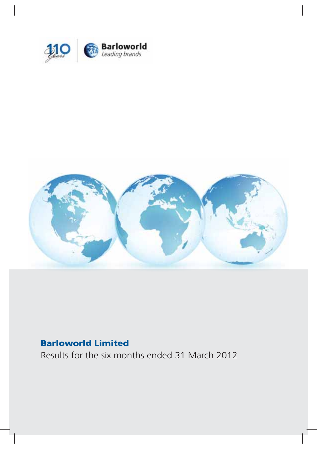



## **Barloworld Limited**

Results for the six months ended 31 March 2012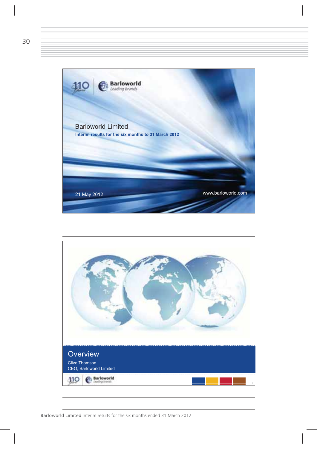

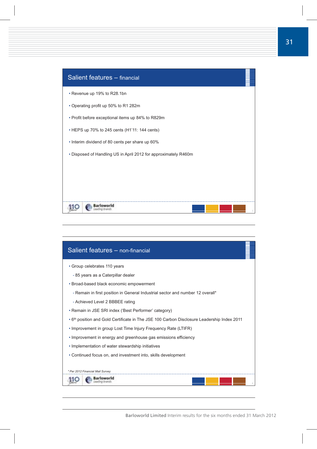| Salient features - financial                                    |
|-----------------------------------------------------------------|
| • Revenue up 19% to R28.1bn                                     |
| • Operating profit up 50% to R1 282m                            |
| • Profit before exceptional items up 84% to R829m               |
| • HEPS up 70% to 245 cents (H1'11: 144 cents)                   |
| • Interim dividend of 80 cents per share up 60%                 |
| • Disposed of Handling US in April 2012 for approximately R460m |
|                                                                 |
|                                                                 |
|                                                                 |
|                                                                 |

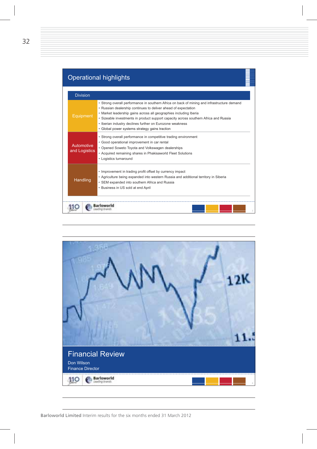|                             | <b>Operational highlights</b>                                                                                                                                                                                                                                                                                                                                                                                                            |
|-----------------------------|------------------------------------------------------------------------------------------------------------------------------------------------------------------------------------------------------------------------------------------------------------------------------------------------------------------------------------------------------------------------------------------------------------------------------------------|
| <b>Division</b>             |                                                                                                                                                                                                                                                                                                                                                                                                                                          |
| Equipment                   | • Strong overall performance in southern Africa on back of mining and infrastructure demand<br>• Russian dealership continues to deliver ahead of expectation<br>· Market leadership gains across all geographies including Iberia<br>· Sizeable investments in product support capacity across southern Africa and Russia<br>• Iberian industry declines further on Eurozone weakness<br>· Global power systems strategy gains traction |
| Automotive<br>and Logistics | · Strong overall performance in competitive trading environment<br>· Good operational improvement in car rental<br>• Opened Soweto Toyota and Volkswagen dealerships<br>• Acquired remaining shares in Phakisaworld Fleet Solutions<br>• Logistics turnaround                                                                                                                                                                            |
| Handling                    | • Improvement in trading profit offset by currency impact<br>• Agriculture being expanded into western Russia and additional territory in Siberia<br>• SEM expanded into southern Africa and Russia<br>• Business in US sold at end April                                                                                                                                                                                                |

▆▆

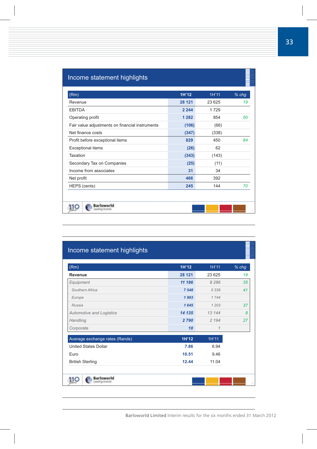## Income statement highlights

| (Rm)                                            | 1H'12   | 1H'11  | % chg |
|-------------------------------------------------|---------|--------|-------|
| Revenue                                         | 28 121  | 23 625 | 19    |
| <b>EBITDA</b>                                   | 2 2 4 4 | 1729   |       |
| Operating profit                                | 1 2 8 2 | 854    | 50    |
| Fair value adjustments on financial instruments | (106)   | (66)   |       |
| Net finance costs                               | (347)   | (338)  |       |
| Profit before exceptional items                 | 829     | 450    | 84    |
| <b>Exceptional items</b>                        | (26)    | 62     |       |
| Taxation                                        | (343)   | (143)  |       |
| Secondary Tax on Companies                      | (25)    | (11)   |       |
| Income from associates                          | 31      | 34     |       |
| Net profit                                      | 466     | 392    |       |
| HEPS (cents)                                    | 245     | 144    | 70    |

| (Rm)                            | 1H'12  | 1H'11   | $%$ chg |
|---------------------------------|--------|---------|---------|
| Revenue                         | 28 121 | 23 625  | 19      |
| Equipment                       | 11 186 | 8 2 8 6 | 35      |
| Southern Africa                 | 7548   | 5 3 3 9 | 41      |
| Europe                          | 1993   | 1744    |         |
| Russia                          | 1645   | 1 203   | 37      |
| <b>Automotive and Logistics</b> | 14 135 | 13 144  | 8       |
| Handling                        | 2790   | 2 1 9 4 | 27      |
| Corporate                       | 10     | 1       |         |
| Average exchange rates (Rands)  | 1H'12  | 1H'11   |         |
| <b>United States Dollar</b>     | 7.86   | 6.94    |         |
| Euro                            | 10.51  | 9.46    |         |
| <b>British Sterling</b>         | 12.44  | 11.04   |         |

▋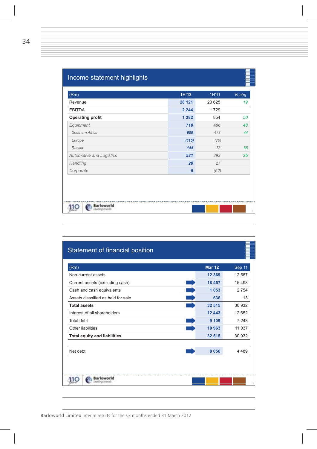| (Rm)                     | 1H'12           | 1H'11   | % chg |
|--------------------------|-----------------|---------|-------|
| Revenue                  | 28 121          | 23 6 25 | 19    |
| <b>EBITDA</b>            | 2 2 4 4         | 1729    |       |
| <b>Operating profit</b>  | 1 2 8 2         | 854     | 50    |
| Equipment                | 718             | 486     | 48    |
| Southern Africa          | 689             | 478     | 44    |
| Europe                   | (115)           | (70)    |       |
| Russia                   | 144             | 78      | 85    |
| Automotive and Logistics | 531             | 393     | 35    |
| Handling                 | 28              | 27      |       |
| Corporate                | $5\phantom{.0}$ | (52)    |       |

≣

| (Rm)                                | <b>Mar 12</b> | Sep 11   |
|-------------------------------------|---------------|----------|
| Non-current assets                  | 12 3 69       | 12 667   |
| Current assets (excluding cash)     | 18 457        | 15 4 9 8 |
| Cash and cash equivalents           | 1 0 5 3       | 2 7 5 4  |
| Assets classified as held for sale  | 636           | 13       |
| <b>Total assets</b>                 | 32 515        | 30 932   |
| Interest of all shareholders        | 12 443        | 12 652   |
| Total debt                          | 9 1 0 9       | 7 243    |
| Other liabilities                   | 10 963        | 11 037   |
| <b>Total equity and liabilities</b> | 32 515        | 30 932   |
| Net debt                            | 8 0 5 6       | 4 4 8 9  |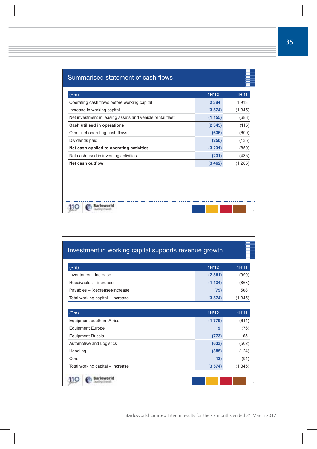| (Rm) |                                                           | 1H'12   | 1H'11   |
|------|-----------------------------------------------------------|---------|---------|
|      | Operating cash flows before working capital               | 2 3 8 4 | 1913    |
|      | Increase in working capital                               | (3574)  | (1345)  |
|      | Net investment in leasing assets and vehicle rental fleet | (1155)  | (683)   |
|      | Cash utilised in operations                               | (2345)  | (115)   |
|      | Other net operating cash flows                            | (636)   | (600)   |
|      | Dividends paid                                            | (250)   | (135)   |
|      | Net cash applied to operating activities                  | (3 231) | (850)   |
|      | Net cash used in investing activities                     | (231)   | (435)   |
|      | Net cash outflow                                          | (3462)  | (1 285) |
|      |                                                           |         |         |
|      |                                                           |         |         |

| 1H'12<br>(2361)<br>(1134)<br>(79)<br>(3 574) | 1H'11<br>(990)<br>(863)<br>508<br>(1345) |
|----------------------------------------------|------------------------------------------|
|                                              |                                          |
|                                              |                                          |
|                                              |                                          |
|                                              |                                          |
|                                              |                                          |
| 1H'12                                        | 1H'11                                    |
| (1779)                                       | (614)                                    |
| 9                                            | (76)                                     |
| (773)                                        | 65                                       |
| (633)                                        | (502)                                    |
| (385)                                        | (124)                                    |
| (13)                                         | (94)                                     |
| (3574)                                       | (1345)                                   |
|                                              |                                          |

E.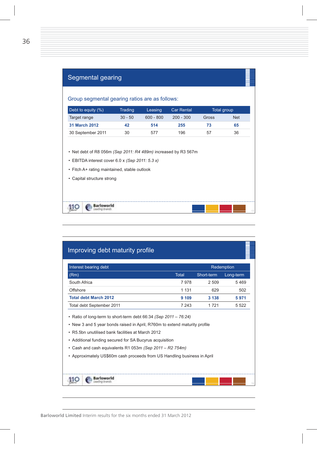| Debt to equity (%)                                                                                                | Trading                                      | Leasing     | <b>Car Rental</b> | <b>Total group</b> |            |
|-------------------------------------------------------------------------------------------------------------------|----------------------------------------------|-------------|-------------------|--------------------|------------|
| Target range                                                                                                      | $30 - 50$                                    | $600 - 800$ | $200 - 300$       | Gross              | <b>Net</b> |
| 31 March 2012                                                                                                     | 42                                           | 514         | 255               | 73                 | 65         |
| 30 September 2011                                                                                                 | 30                                           | 577         | 196               | 57                 | 36         |
| • Net debt of R8 056m (Sep 2011: R4 489m) increased by R3 567m<br>• EBITDA interest cover 6.0 x (Sep 2011: 5.3 x) | • Fitch A+ rating maintained, stable outlook |             |                   |                    |            |

| Interest bearing debt                                                                                                                                                                                                                                  |         |                                                                          | Redemption |
|--------------------------------------------------------------------------------------------------------------------------------------------------------------------------------------------------------------------------------------------------------|---------|--------------------------------------------------------------------------|------------|
| (Rm)                                                                                                                                                                                                                                                   | Total   | Short-term                                                               | Long-term  |
| South Africa                                                                                                                                                                                                                                           | 7978    | 2 509                                                                    | 5469       |
| Offshore                                                                                                                                                                                                                                               | 1 1 3 1 | 629                                                                      | 502        |
| <b>Total debt March 2012</b>                                                                                                                                                                                                                           | 9 1 0 9 | 3 1 3 8                                                                  | 5971       |
| Total debt September 2011                                                                                                                                                                                                                              | 7 243   | 1721                                                                     | 5 5 2 2    |
| • New 3 and 5 year bonds raised in April, R760m to extend maturity profile<br>• R5.5bn unutilised bank facilities at March 2012<br>• Additional funding secured for SA Bucyrus acquisition<br>• Cash and cash equivalents R1 053m (Sep 2011 - R2 754m) |         | • Approximately US\$60m cash proceeds from US Handling business in April |            |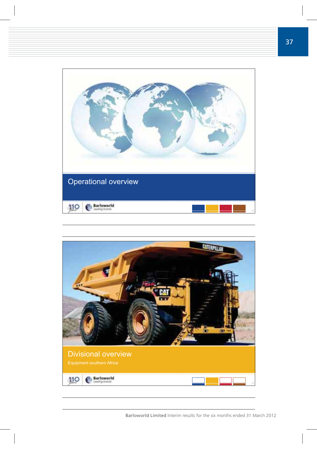

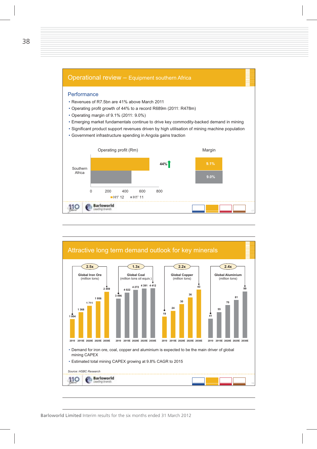

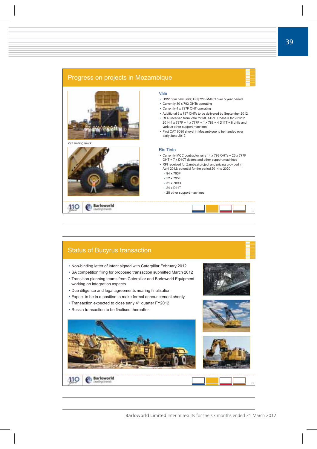

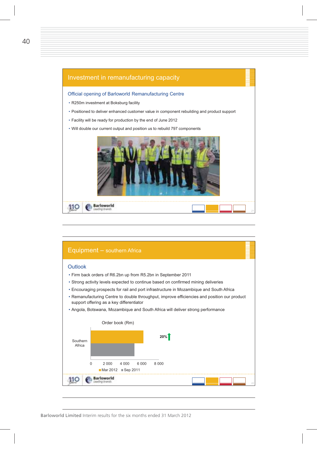

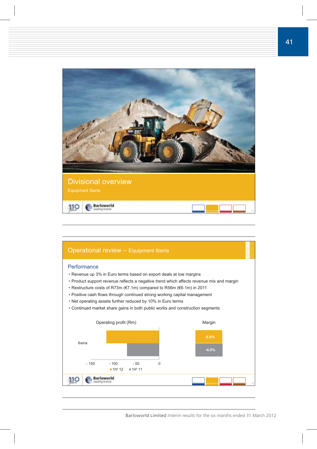

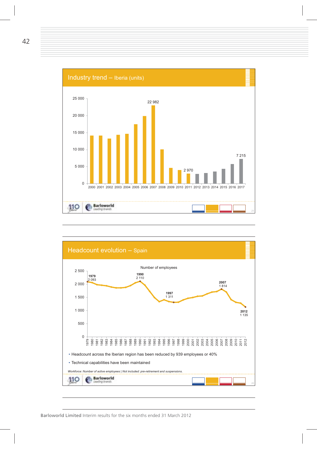

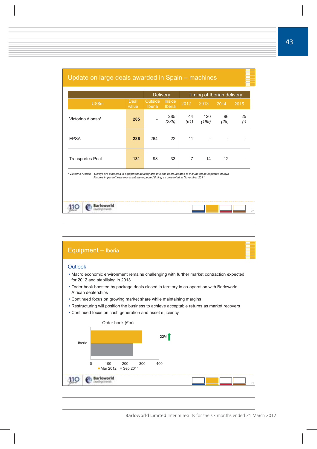|                                                                                                                                                                                                                            |               | <b>Delivery</b>          |                  |            | Timing of Iberian delivery |            |             |
|----------------------------------------------------------------------------------------------------------------------------------------------------------------------------------------------------------------------------|---------------|--------------------------|------------------|------------|----------------------------|------------|-------------|
| US\$m                                                                                                                                                                                                                      | Deal<br>value | Outside<br><b>Iberia</b> | Inside<br>Iberia | 2012       | 2013                       | 2014       | 2015        |
| Victorino Alonso <sup>1</sup>                                                                                                                                                                                              | 285           |                          | 285<br>(285)     | 44<br>(61) | 120<br>(199)               | 96<br>(25) | 25<br>$(-)$ |
| 22<br>11<br><b>EPSA</b><br>286<br>264                                                                                                                                                                                      |               |                          |                  |            |                            |            |             |
| 14<br>131<br>98<br>33<br>$\overline{7}$<br>12<br><b>Transportes Peal</b>                                                                                                                                                   |               |                          |                  |            |                            |            |             |
| <sup>1</sup> Victorino Alonso - Delays are expected in equipment delivery and this has been updated to include these expected delays<br>Figures in parenthesis represent the expected timing as presented in November 2011 |               |                          |                  |            |                            |            |             |
| Barloworld                                                                                                                                                                                                                 |               |                          |                  |            |                            |            |             |

## Update on large deals awarded in Spain – machines

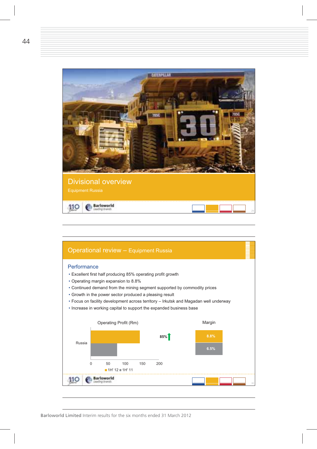

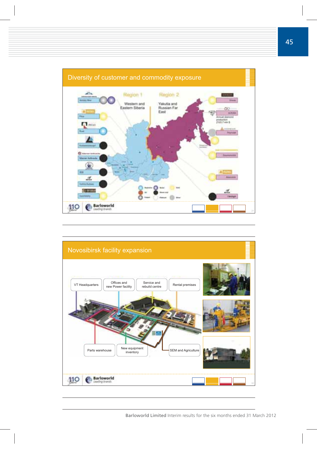

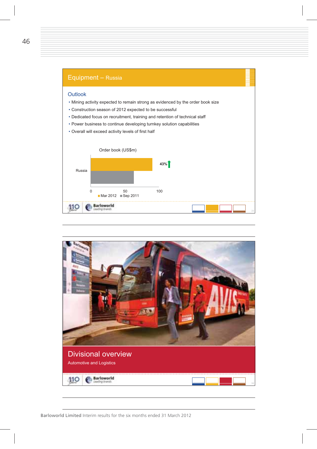

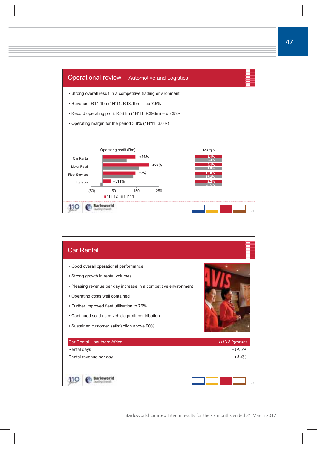

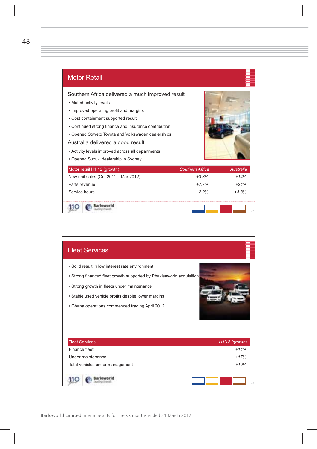

## Fleet Services - Solid result in low interest rate environment • Strong financed fleet growth supported by Phakisaworld acquisition - Strong growth in fleets under maintenance - Stable used vehicle profits despite lower margins - Ghana operations commenced trading April 2012 Fleet Services *H1'12 (growth)* Finance fleet *+14%*  Under maintenance *+17%*  Total vehicles under management *+19%*  Barloworld 110 *38*

110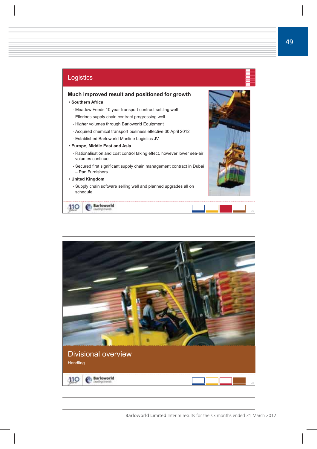

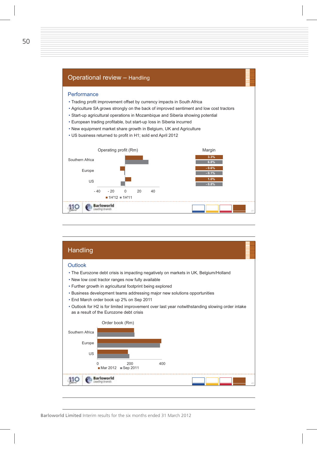

| Handling                                                                                                                                                                                                                                                                                                                                                                                                                                                                                 |  |
|------------------------------------------------------------------------------------------------------------------------------------------------------------------------------------------------------------------------------------------------------------------------------------------------------------------------------------------------------------------------------------------------------------------------------------------------------------------------------------------|--|
| Outlook<br>• The Eurozone debt crisis is impacting negatively on markets in UK, Belgium/Holland<br>. New low cost tractor ranges now fully available<br>• Further growth in agricultural footprint being explored<br>• Business development teams addressing major new solutions opportunities<br>• End March order book up 2% on Sep 2011<br>. Outlook for H2 is for limited improvement over last year notwithstanding slowing order intake<br>as a result of the Eurozone debt crisis |  |
| Order book (Rm)<br>Southern Africa<br>Europe<br><b>US</b><br>200<br>400                                                                                                                                                                                                                                                                                                                                                                                                                  |  |
| Mar 2012 Sep 2011                                                                                                                                                                                                                                                                                                                                                                                                                                                                        |  |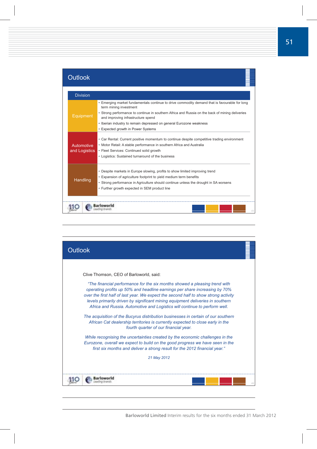| Outlook                     |                                                                                                                                                                                                                                                                                                                                                                               |
|-----------------------------|-------------------------------------------------------------------------------------------------------------------------------------------------------------------------------------------------------------------------------------------------------------------------------------------------------------------------------------------------------------------------------|
| <b>Division</b>             |                                                                                                                                                                                                                                                                                                                                                                               |
| Equipment                   | . Emerging market fundamentals continue to drive commodity demand that is favourable for long<br>term mining investment<br>• Strong performance to continue in southern Africa and Russia on the back of mining deliveries<br>and improving infrastructure spend<br>• Iberian industry to remain depressed on general Eurozone weakness<br>• Expected growth in Power Systems |
| Automotive<br>and Logistics | • Car Rental: Current positive momentum to continue despite competitive trading environment<br>• Motor Retail: A stable performance in southern Africa and Australia<br>· Fleet Services: Continued solid growth<br>• Logistics: Sustained turnaround of the business                                                                                                         |
| Handling                    | • Despite markets in Europe slowing, profits to show limited improving trend<br>• Expansion of agriculture footprint to yield medium term benefits<br>• Strong performance in Agriculture should continue unless the drought in SA worsens<br>• Further growth expected in SEM product line                                                                                   |
|                             |                                                                                                                                                                                                                                                                                                                                                                               |